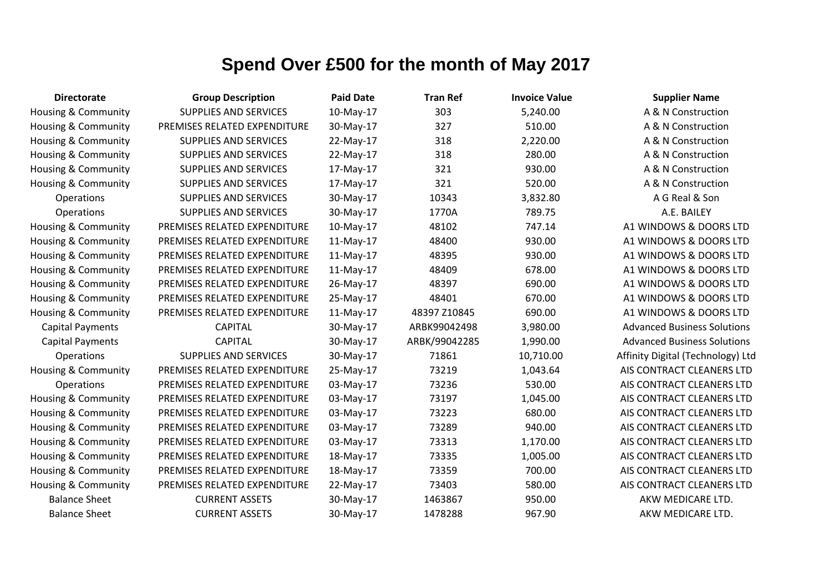| <b>Directorate</b>             | <b>Group Description</b>     | <b>Paid Date</b> | <b>Tran Ref</b> | <b>Invoice Value</b> | <b>Supplier Name</b>               |
|--------------------------------|------------------------------|------------------|-----------------|----------------------|------------------------------------|
| Housing & Community            | <b>SUPPLIES AND SERVICES</b> | 10-May-17        | 303             | 5,240.00             | A & N Construction                 |
| Housing & Community            | PREMISES RELATED EXPENDITURE | 30-May-17        | 327             | 510.00               | A & N Construction                 |
| Housing & Community            | <b>SUPPLIES AND SERVICES</b> | 22-May-17        | 318             | 2,220.00             | A & N Construction                 |
| Housing & Community            | <b>SUPPLIES AND SERVICES</b> | 22-May-17        | 318             | 280.00               | A & N Construction                 |
| Housing & Community            | <b>SUPPLIES AND SERVICES</b> | 17-May-17        | 321             | 930.00               | A & N Construction                 |
| Housing & Community            | <b>SUPPLIES AND SERVICES</b> | 17-May-17        | 321             | 520.00               | A & N Construction                 |
| Operations                     | <b>SUPPLIES AND SERVICES</b> | 30-May-17        | 10343           | 3,832.80             | A G Real & Son                     |
| Operations                     | <b>SUPPLIES AND SERVICES</b> | 30-May-17        | 1770A           | 789.75               | A.E. BAILEY                        |
| <b>Housing &amp; Community</b> | PREMISES RELATED EXPENDITURE | 10-May-17        | 48102           | 747.14               | A1 WINDOWS & DOORS LTD             |
| Housing & Community            | PREMISES RELATED EXPENDITURE | 11-May-17        | 48400           | 930.00               | A1 WINDOWS & DOORS LTD             |
| Housing & Community            | PREMISES RELATED EXPENDITURE | 11-May-17        | 48395           | 930.00               | A1 WINDOWS & DOORS LTD             |
| Housing & Community            | PREMISES RELATED EXPENDITURE | 11-May-17        | 48409           | 678.00               | A1 WINDOWS & DOORS LTD             |
| Housing & Community            | PREMISES RELATED EXPENDITURE | 26-May-17        | 48397           | 690.00               | A1 WINDOWS & DOORS LTD             |
| <b>Housing &amp; Community</b> | PREMISES RELATED EXPENDITURE | 25-May-17        | 48401           | 670.00               | A1 WINDOWS & DOORS LTD             |
| <b>Housing &amp; Community</b> | PREMISES RELATED EXPENDITURE | 11-May-17        | 48397 Z10845    | 690.00               | A1 WINDOWS & DOORS LTD             |
| <b>Capital Payments</b>        | <b>CAPITAL</b>               | 30-May-17        | ARBK99042498    | 3,980.00             | <b>Advanced Business Solutions</b> |
| <b>Capital Payments</b>        | <b>CAPITAL</b>               | 30-May-17        | ARBK/99042285   | 1,990.00             | <b>Advanced Business Solutions</b> |
| Operations                     | <b>SUPPLIES AND SERVICES</b> | 30-May-17        | 71861           | 10,710.00            | Affinity Digital (Technology) Ltd  |
| Housing & Community            | PREMISES RELATED EXPENDITURE | 25-May-17        | 73219           | 1,043.64             | AIS CONTRACT CLEANERS LTD          |
| Operations                     | PREMISES RELATED EXPENDITURE | 03-May-17        | 73236           | 530.00               | AIS CONTRACT CLEANERS LTD          |
| Housing & Community            | PREMISES RELATED EXPENDITURE | 03-May-17        | 73197           | 1,045.00             | AIS CONTRACT CLEANERS LTD          |
| <b>Housing &amp; Community</b> | PREMISES RELATED EXPENDITURE | 03-May-17        | 73223           | 680.00               | AIS CONTRACT CLEANERS LTD          |
| Housing & Community            | PREMISES RELATED EXPENDITURE | 03-May-17        | 73289           | 940.00               | AIS CONTRACT CLEANERS LTD          |
| Housing & Community            | PREMISES RELATED EXPENDITURE | 03-May-17        | 73313           | 1,170.00             | AIS CONTRACT CLEANERS LTD          |
| <b>Housing &amp; Community</b> | PREMISES RELATED EXPENDITURE | 18-May-17        | 73335           | 1,005.00             | AIS CONTRACT CLEANERS LTD          |
| <b>Housing &amp; Community</b> | PREMISES RELATED EXPENDITURE | 18-May-17        | 73359           | 700.00               | AIS CONTRACT CLEANERS LTD          |
| <b>Housing &amp; Community</b> | PREMISES RELATED EXPENDITURE | 22-May-17        | 73403           | 580.00               | AIS CONTRACT CLEANERS LTD          |
| <b>Balance Sheet</b>           | <b>CURRENT ASSETS</b>        | 30-May-17        | 1463867         | 950.00               | AKW MEDICARE LTD.                  |
| <b>Balance Sheet</b>           | <b>CURRENT ASSETS</b>        | 30-May-17        | 1478288         | 967.90               | AKW MEDICARE LTD.                  |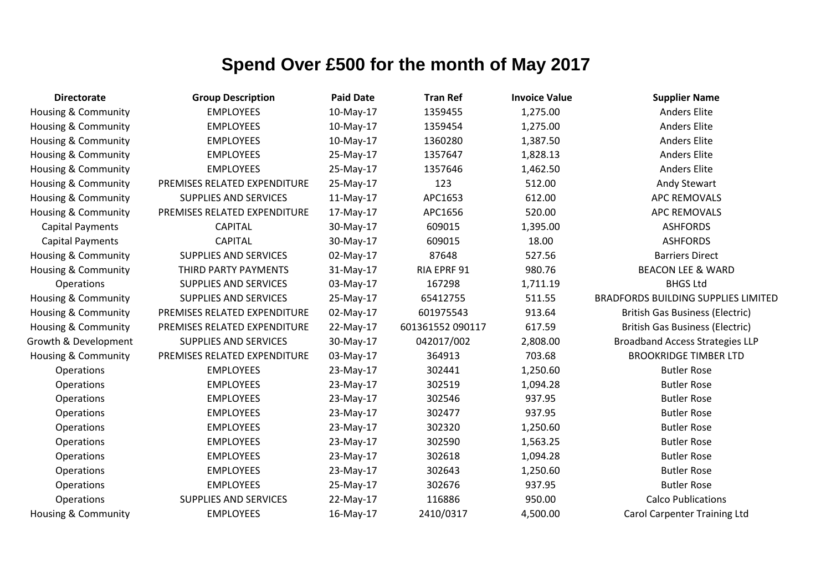| <b>Directorate</b>             | <b>Group Description</b>     | <b>Paid Date</b> | <b>Tran Ref</b>  | <b>Invoice Value</b> | <b>Supplier Name</b>                       |
|--------------------------------|------------------------------|------------------|------------------|----------------------|--------------------------------------------|
| <b>Housing &amp; Community</b> | <b>EMPLOYEES</b>             | 10-May-17        | 1359455          | 1,275.00             | <b>Anders Elite</b>                        |
| Housing & Community            | <b>EMPLOYEES</b>             | 10-May-17        | 1359454          | 1,275.00             | <b>Anders Elite</b>                        |
| Housing & Community            | <b>EMPLOYEES</b>             | 10-May-17        | 1360280          | 1,387.50             | <b>Anders Elite</b>                        |
| Housing & Community            | <b>EMPLOYEES</b>             | 25-May-17        | 1357647          | 1,828.13             | <b>Anders Elite</b>                        |
| Housing & Community            | <b>EMPLOYEES</b>             | 25-May-17        | 1357646          | 1,462.50             | <b>Anders Elite</b>                        |
| Housing & Community            | PREMISES RELATED EXPENDITURE | 25-May-17        | 123              | 512.00               | <b>Andy Stewart</b>                        |
| Housing & Community            | <b>SUPPLIES AND SERVICES</b> | 11-May-17        | APC1653          | 612.00               | APC REMOVALS                               |
| <b>Housing &amp; Community</b> | PREMISES RELATED EXPENDITURE | 17-May-17        | APC1656          | 520.00               | APC REMOVALS                               |
| <b>Capital Payments</b>        | <b>CAPITAL</b>               | 30-May-17        | 609015           | 1,395.00             | <b>ASHFORDS</b>                            |
| <b>Capital Payments</b>        | <b>CAPITAL</b>               | 30-May-17        | 609015           | 18.00                | <b>ASHFORDS</b>                            |
| Housing & Community            | <b>SUPPLIES AND SERVICES</b> | 02-May-17        | 87648            | 527.56               | <b>Barriers Direct</b>                     |
| <b>Housing &amp; Community</b> | THIRD PARTY PAYMENTS         | 31-May-17        | RIA EPRF 91      | 980.76               | <b>BEACON LEE &amp; WARD</b>               |
| Operations                     | <b>SUPPLIES AND SERVICES</b> | 03-May-17        | 167298           | 1,711.19             | <b>BHGS Ltd</b>                            |
| Housing & Community            | <b>SUPPLIES AND SERVICES</b> | 25-May-17        | 65412755         | 511.55               | <b>BRADFORDS BUILDING SUPPLIES LIMITED</b> |
| Housing & Community            | PREMISES RELATED EXPENDITURE | 02-May-17        | 601975543        | 913.64               | <b>British Gas Business (Electric)</b>     |
| <b>Housing &amp; Community</b> | PREMISES RELATED EXPENDITURE | 22-May-17        | 601361552 090117 | 617.59               | <b>British Gas Business (Electric)</b>     |
| Growth & Development           | <b>SUPPLIES AND SERVICES</b> | 30-May-17        | 042017/002       | 2,808.00             | <b>Broadband Access Strategies LLP</b>     |
| Housing & Community            | PREMISES RELATED EXPENDITURE | 03-May-17        | 364913           | 703.68               | <b>BROOKRIDGE TIMBER LTD</b>               |
| Operations                     | <b>EMPLOYEES</b>             | 23-May-17        | 302441           | 1,250.60             | <b>Butler Rose</b>                         |
| Operations                     | <b>EMPLOYEES</b>             | 23-May-17        | 302519           | 1,094.28             | <b>Butler Rose</b>                         |
| Operations                     | <b>EMPLOYEES</b>             | 23-May-17        | 302546           | 937.95               | <b>Butler Rose</b>                         |
| Operations                     | <b>EMPLOYEES</b>             | 23-May-17        | 302477           | 937.95               | <b>Butler Rose</b>                         |
| Operations                     | <b>EMPLOYEES</b>             | 23-May-17        | 302320           | 1,250.60             | <b>Butler Rose</b>                         |
| <b>Operations</b>              | <b>EMPLOYEES</b>             | 23-May-17        | 302590           | 1,563.25             | <b>Butler Rose</b>                         |
| Operations                     | <b>EMPLOYEES</b>             | 23-May-17        | 302618           | 1,094.28             | <b>Butler Rose</b>                         |
| Operations                     | <b>EMPLOYEES</b>             | 23-May-17        | 302643           | 1,250.60             | <b>Butler Rose</b>                         |
| Operations                     | <b>EMPLOYEES</b>             | 25-May-17        | 302676           | 937.95               | <b>Butler Rose</b>                         |
| Operations                     | <b>SUPPLIES AND SERVICES</b> | 22-May-17        | 116886           | 950.00               | <b>Calco Publications</b>                  |
| <b>Housing &amp; Community</b> | <b>EMPLOYEES</b>             | 16-May-17        | 2410/0317        | 4,500.00             | <b>Carol Carpenter Training Ltd</b>        |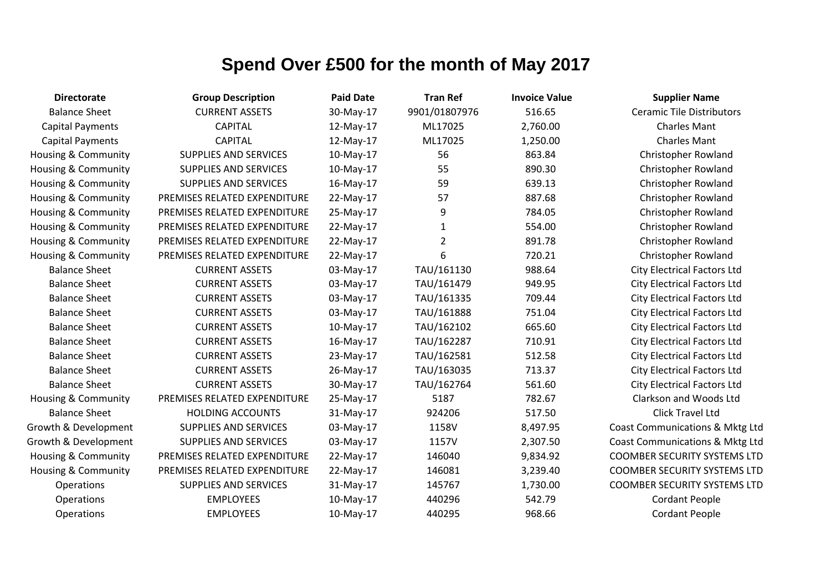| <b>Directorate</b>             | <b>Group Description</b>     | <b>Paid Date</b> | <b>Tran Ref</b> | <b>Invoice Value</b> | <b>Supplier Name</b>                |
|--------------------------------|------------------------------|------------------|-----------------|----------------------|-------------------------------------|
| <b>Balance Sheet</b>           | <b>CURRENT ASSETS</b>        | 30-May-17        | 9901/01807976   | 516.65               | <b>Ceramic Tile Distributors</b>    |
| <b>Capital Payments</b>        | <b>CAPITAL</b>               | 12-May-17        | ML17025         | 2,760.00             | <b>Charles Mant</b>                 |
| <b>Capital Payments</b>        | <b>CAPITAL</b>               | 12-May-17        | ML17025         | 1,250.00             | <b>Charles Mant</b>                 |
| <b>Housing &amp; Community</b> | <b>SUPPLIES AND SERVICES</b> | 10-May-17        | 56              | 863.84               | Christopher Rowland                 |
| Housing & Community            | SUPPLIES AND SERVICES        | 10-May-17        | 55              | 890.30               | Christopher Rowland                 |
| Housing & Community            | SUPPLIES AND SERVICES        | 16-May-17        | 59              | 639.13               | Christopher Rowland                 |
| Housing & Community            | PREMISES RELATED EXPENDITURE | 22-May-17        | 57              | 887.68               | Christopher Rowland                 |
| <b>Housing &amp; Community</b> | PREMISES RELATED EXPENDITURE | 25-May-17        | 9               | 784.05               | Christopher Rowland                 |
| Housing & Community            | PREMISES RELATED EXPENDITURE | 22-May-17        | $\mathbf{1}$    | 554.00               | Christopher Rowland                 |
| <b>Housing &amp; Community</b> | PREMISES RELATED EXPENDITURE | 22-May-17        | $\overline{2}$  | 891.78               | Christopher Rowland                 |
| Housing & Community            | PREMISES RELATED EXPENDITURE | 22-May-17        | 6               | 720.21               | Christopher Rowland                 |
| <b>Balance Sheet</b>           | <b>CURRENT ASSETS</b>        | 03-May-17        | TAU/161130      | 988.64               | <b>City Electrical Factors Ltd</b>  |
| <b>Balance Sheet</b>           | <b>CURRENT ASSETS</b>        | 03-May-17        | TAU/161479      | 949.95               | <b>City Electrical Factors Ltd</b>  |
| <b>Balance Sheet</b>           | <b>CURRENT ASSETS</b>        | 03-May-17        | TAU/161335      | 709.44               | <b>City Electrical Factors Ltd</b>  |
| <b>Balance Sheet</b>           | <b>CURRENT ASSETS</b>        | 03-May-17        | TAU/161888      | 751.04               | <b>City Electrical Factors Ltd</b>  |
| <b>Balance Sheet</b>           | <b>CURRENT ASSETS</b>        | 10-May-17        | TAU/162102      | 665.60               | <b>City Electrical Factors Ltd</b>  |
| <b>Balance Sheet</b>           | <b>CURRENT ASSETS</b>        | 16-May-17        | TAU/162287      | 710.91               | <b>City Electrical Factors Ltd</b>  |
| <b>Balance Sheet</b>           | <b>CURRENT ASSETS</b>        | 23-May-17        | TAU/162581      | 512.58               | <b>City Electrical Factors Ltd</b>  |
| <b>Balance Sheet</b>           | <b>CURRENT ASSETS</b>        | 26-May-17        | TAU/163035      | 713.37               | <b>City Electrical Factors Ltd</b>  |
| <b>Balance Sheet</b>           | <b>CURRENT ASSETS</b>        | 30-May-17        | TAU/162764      | 561.60               | <b>City Electrical Factors Ltd</b>  |
| <b>Housing &amp; Community</b> | PREMISES RELATED EXPENDITURE | 25-May-17        | 5187            | 782.67               | Clarkson and Woods Ltd              |
| <b>Balance Sheet</b>           | <b>HOLDING ACCOUNTS</b>      | 31-May-17        | 924206          | 517.50               | Click Travel Ltd                    |
| Growth & Development           | <b>SUPPLIES AND SERVICES</b> | 03-May-17        | 1158V           | 8,497.95             | Coast Communications & Mktg Ltd     |
| Growth & Development           | <b>SUPPLIES AND SERVICES</b> | 03-May-17        | 1157V           | 2,307.50             | Coast Communications & Mktg Ltd     |
| <b>Housing &amp; Community</b> | PREMISES RELATED EXPENDITURE | 22-May-17        | 146040          | 9,834.92             | <b>COOMBER SECURITY SYSTEMS LTD</b> |
| Housing & Community            | PREMISES RELATED EXPENDITURE | 22-May-17        | 146081          | 3,239.40             | <b>COOMBER SECURITY SYSTEMS LTD</b> |
| Operations                     | <b>SUPPLIES AND SERVICES</b> | 31-May-17        | 145767          | 1,730.00             | <b>COOMBER SECURITY SYSTEMS LTD</b> |
| Operations                     | <b>EMPLOYEES</b>             | 10-May-17        | 440296          | 542.79               | <b>Cordant People</b>               |
| Operations                     | <b>EMPLOYEES</b>             | 10-May-17        | 440295          | 968.66               | <b>Cordant People</b>               |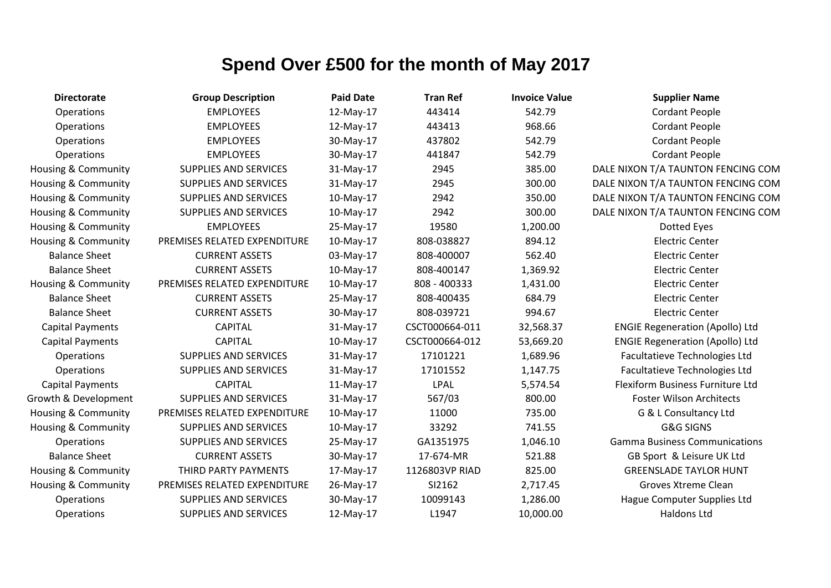| <b>Directorate</b>             | <b>Group Description</b>     | <b>Paid Date</b> | <b>Tran Ref</b> | <b>Invoice Value</b> | <b>Supplier Name</b>                   |
|--------------------------------|------------------------------|------------------|-----------------|----------------------|----------------------------------------|
| Operations                     | <b>EMPLOYEES</b>             | 12-May-17        | 443414          | 542.79               | <b>Cordant People</b>                  |
| <b>Operations</b>              | <b>EMPLOYEES</b>             | 12-May-17        | 443413          | 968.66               | <b>Cordant People</b>                  |
| Operations                     | <b>EMPLOYEES</b>             | 30-May-17        | 437802          | 542.79               | <b>Cordant People</b>                  |
| Operations                     | <b>EMPLOYEES</b>             | 30-May-17        | 441847          | 542.79               | <b>Cordant People</b>                  |
| <b>Housing &amp; Community</b> | <b>SUPPLIES AND SERVICES</b> | 31-May-17        | 2945            | 385.00               | DALE NIXON T/A TAUNTON FENCING COM     |
| <b>Housing &amp; Community</b> | <b>SUPPLIES AND SERVICES</b> | 31-May-17        | 2945            | 300.00               | DALE NIXON T/A TAUNTON FENCING COM     |
| Housing & Community            | <b>SUPPLIES AND SERVICES</b> | 10-May-17        | 2942            | 350.00               | DALE NIXON T/A TAUNTON FENCING COM     |
| Housing & Community            | SUPPLIES AND SERVICES        | 10-May-17        | 2942            | 300.00               | DALE NIXON T/A TAUNTON FENCING COM     |
| <b>Housing &amp; Community</b> | <b>EMPLOYEES</b>             | 25-May-17        | 19580           | 1,200.00             | Dotted Eyes                            |
| <b>Housing &amp; Community</b> | PREMISES RELATED EXPENDITURE | 10-May-17        | 808-038827      | 894.12               | <b>Electric Center</b>                 |
| <b>Balance Sheet</b>           | <b>CURRENT ASSETS</b>        | 03-May-17        | 808-400007      | 562.40               | <b>Electric Center</b>                 |
| <b>Balance Sheet</b>           | <b>CURRENT ASSETS</b>        | 10-May-17        | 808-400147      | 1,369.92             | <b>Electric Center</b>                 |
| Housing & Community            | PREMISES RELATED EXPENDITURE | 10-May-17        | 808 - 400333    | 1,431.00             | <b>Electric Center</b>                 |
| <b>Balance Sheet</b>           | <b>CURRENT ASSETS</b>        | 25-May-17        | 808-400435      | 684.79               | <b>Electric Center</b>                 |
| <b>Balance Sheet</b>           | <b>CURRENT ASSETS</b>        | 30-May-17        | 808-039721      | 994.67               | <b>Electric Center</b>                 |
| <b>Capital Payments</b>        | <b>CAPITAL</b>               | 31-May-17        | CSCT000664-011  | 32,568.37            | <b>ENGIE Regeneration (Apollo) Ltd</b> |
| <b>Capital Payments</b>        | <b>CAPITAL</b>               | 10-May-17        | CSCT000664-012  | 53,669.20            | <b>ENGIE Regeneration (Apollo) Ltd</b> |
| Operations                     | <b>SUPPLIES AND SERVICES</b> | 31-May-17        | 17101221        | 1,689.96             | Facultatieve Technologies Ltd          |
| Operations                     | <b>SUPPLIES AND SERVICES</b> | 31-May-17        | 17101552        | 1,147.75             | Facultatieve Technologies Ltd          |
| <b>Capital Payments</b>        | <b>CAPITAL</b>               | 11-May-17        | <b>LPAL</b>     | 5,574.54             | Flexiform Business Furniture Ltd       |
| Growth & Development           | <b>SUPPLIES AND SERVICES</b> | 31-May-17        | 567/03          | 800.00               | <b>Foster Wilson Architects</b>        |
| <b>Housing &amp; Community</b> | PREMISES RELATED EXPENDITURE | 10-May-17        | 11000           | 735.00               | G & L Consultancy Ltd                  |
| Housing & Community            | <b>SUPPLIES AND SERVICES</b> | 10-May-17        | 33292           | 741.55               | G&G SIGNS                              |
| Operations                     | <b>SUPPLIES AND SERVICES</b> | 25-May-17        | GA1351975       | 1,046.10             | <b>Gamma Business Communications</b>   |
| <b>Balance Sheet</b>           | <b>CURRENT ASSETS</b>        | 30-May-17        | 17-674-MR       | 521.88               | GB Sport & Leisure UK Ltd              |
| Housing & Community            | THIRD PARTY PAYMENTS         | 17-May-17        | 1126803VP RIAD  | 825.00               | <b>GREENSLADE TAYLOR HUNT</b>          |
| <b>Housing &amp; Community</b> | PREMISES RELATED EXPENDITURE | 26-May-17        | SI2162          | 2,717.45             | Groves Xtreme Clean                    |
| Operations                     | <b>SUPPLIES AND SERVICES</b> | 30-May-17        | 10099143        | 1,286.00             | Hague Computer Supplies Ltd            |
| Operations                     | <b>SUPPLIES AND SERVICES</b> | 12-May-17        | L1947           | 10,000.00            | Haldons Ltd                            |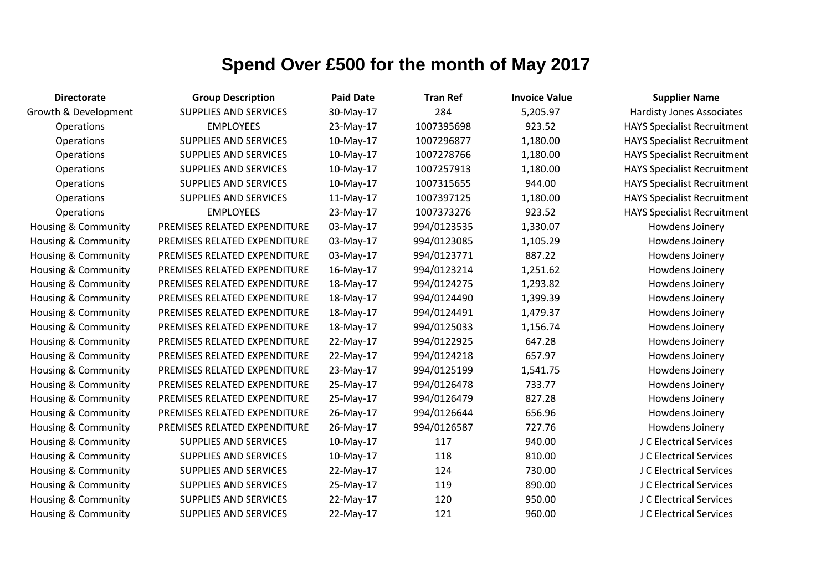| <b>Directorate</b>             | <b>Group Description</b>     | <b>Paid Date</b> | <b>Tran Ref</b> | <b>Invoice Value</b> | <b>Supplier Name</b>               |
|--------------------------------|------------------------------|------------------|-----------------|----------------------|------------------------------------|
| Growth & Development           | <b>SUPPLIES AND SERVICES</b> | 30-May-17        | 284             | 5,205.97             | <b>Hardisty Jones Associates</b>   |
| Operations                     | <b>EMPLOYEES</b>             | 23-May-17        | 1007395698      | 923.52               | <b>HAYS Specialist Recruitment</b> |
| Operations                     | SUPPLIES AND SERVICES        | 10-May-17        | 1007296877      | 1,180.00             | <b>HAYS Specialist Recruitment</b> |
| Operations                     | <b>SUPPLIES AND SERVICES</b> | 10-May-17        | 1007278766      | 1,180.00             | <b>HAYS Specialist Recruitment</b> |
| Operations                     | <b>SUPPLIES AND SERVICES</b> | 10-May-17        | 1007257913      | 1,180.00             | <b>HAYS Specialist Recruitment</b> |
| Operations                     | SUPPLIES AND SERVICES        | 10-May-17        | 1007315655      | 944.00               | <b>HAYS Specialist Recruitment</b> |
| Operations                     | SUPPLIES AND SERVICES        | 11-May-17        | 1007397125      | 1,180.00             | <b>HAYS Specialist Recruitment</b> |
| Operations                     | <b>EMPLOYEES</b>             | 23-May-17        | 1007373276      | 923.52               | <b>HAYS Specialist Recruitment</b> |
| Housing & Community            | PREMISES RELATED EXPENDITURE | 03-May-17        | 994/0123535     | 1,330.07             | Howdens Joinery                    |
| Housing & Community            | PREMISES RELATED EXPENDITURE | 03-May-17        | 994/0123085     | 1,105.29             | Howdens Joinery                    |
| Housing & Community            | PREMISES RELATED EXPENDITURE | 03-May-17        | 994/0123771     | 887.22               | Howdens Joinery                    |
| Housing & Community            | PREMISES RELATED EXPENDITURE | 16-May-17        | 994/0123214     | 1,251.62             | Howdens Joinery                    |
| <b>Housing &amp; Community</b> | PREMISES RELATED EXPENDITURE | 18-May-17        | 994/0124275     | 1,293.82             | Howdens Joinery                    |
| Housing & Community            | PREMISES RELATED EXPENDITURE | 18-May-17        | 994/0124490     | 1,399.39             | Howdens Joinery                    |
| Housing & Community            | PREMISES RELATED EXPENDITURE | 18-May-17        | 994/0124491     | 1,479.37             | Howdens Joinery                    |
| Housing & Community            | PREMISES RELATED EXPENDITURE | 18-May-17        | 994/0125033     | 1,156.74             | Howdens Joinery                    |
| Housing & Community            | PREMISES RELATED EXPENDITURE | 22-May-17        | 994/0122925     | 647.28               | Howdens Joinery                    |
| Housing & Community            | PREMISES RELATED EXPENDITURE | 22-May-17        | 994/0124218     | 657.97               | Howdens Joinery                    |
| Housing & Community            | PREMISES RELATED EXPENDITURE | 23-May-17        | 994/0125199     | 1,541.75             | Howdens Joinery                    |
| Housing & Community            | PREMISES RELATED EXPENDITURE | 25-May-17        | 994/0126478     | 733.77               | Howdens Joinery                    |
| Housing & Community            | PREMISES RELATED EXPENDITURE | 25-May-17        | 994/0126479     | 827.28               | Howdens Joinery                    |
| Housing & Community            | PREMISES RELATED EXPENDITURE | 26-May-17        | 994/0126644     | 656.96               | Howdens Joinery                    |
| Housing & Community            | PREMISES RELATED EXPENDITURE | 26-May-17        | 994/0126587     | 727.76               | Howdens Joinery                    |
| Housing & Community            | <b>SUPPLIES AND SERVICES</b> | 10-May-17        | 117             | 940.00               | J C Electrical Services            |
| Housing & Community            | SUPPLIES AND SERVICES        | 10-May-17        | 118             | 810.00               | J C Electrical Services            |
| Housing & Community            | SUPPLIES AND SERVICES        | 22-May-17        | 124             | 730.00               | J C Electrical Services            |
| Housing & Community            | <b>SUPPLIES AND SERVICES</b> | 25-May-17        | 119             | 890.00               | J C Electrical Services            |
| Housing & Community            | <b>SUPPLIES AND SERVICES</b> | 22-May-17        | 120             | 950.00               | J C Electrical Services            |
| Housing & Community            | <b>SUPPLIES AND SERVICES</b> | 22-May-17        | 121             | 960.00               | J C Electrical Services            |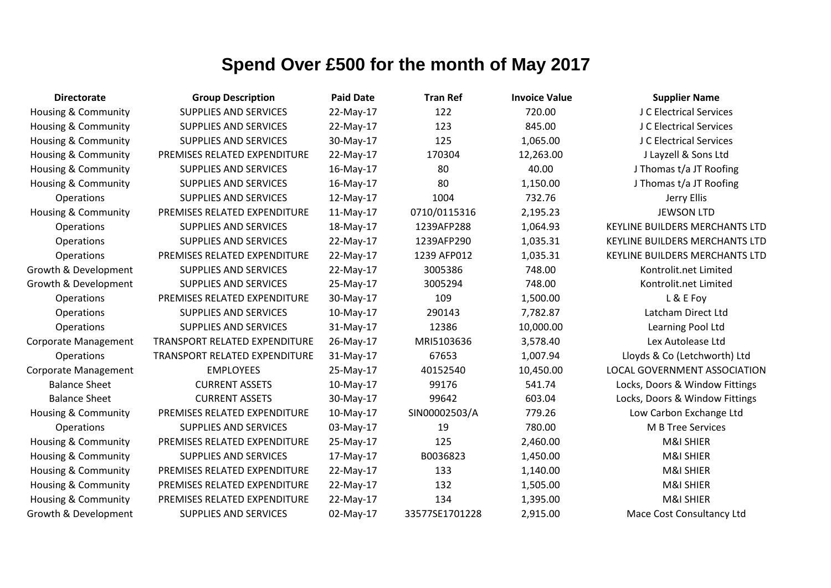| <b>Directorate</b>             | <b>Group Description</b>      | <b>Paid Date</b> | <b>Tran Ref</b> | <b>Invoice Value</b> | <b>Supplier Name</b>           |
|--------------------------------|-------------------------------|------------------|-----------------|----------------------|--------------------------------|
| Housing & Community            | <b>SUPPLIES AND SERVICES</b>  | 22-May-17        | 122             | 720.00               | J C Electrical Services        |
| Housing & Community            | <b>SUPPLIES AND SERVICES</b>  | 22-May-17        | 123             | 845.00               | J C Electrical Services        |
| Housing & Community            | <b>SUPPLIES AND SERVICES</b>  | 30-May-17        | 125             | 1,065.00             | J C Electrical Services        |
| <b>Housing &amp; Community</b> | PREMISES RELATED EXPENDITURE  | 22-May-17        | 170304          | 12,263.00            | J Layzell & Sons Ltd           |
| <b>Housing &amp; Community</b> | <b>SUPPLIES AND SERVICES</b>  | 16-May-17        | 80              | 40.00                | J Thomas t/a JT Roofing        |
| <b>Housing &amp; Community</b> | <b>SUPPLIES AND SERVICES</b>  | $16$ -May-17     | 80              | 1,150.00             | J Thomas t/a JT Roofing        |
| Operations                     | <b>SUPPLIES AND SERVICES</b>  | 12-May-17        | 1004            | 732.76               | Jerry Ellis                    |
| <b>Housing &amp; Community</b> | PREMISES RELATED EXPENDITURE  | 11-May-17        | 0710/0115316    | 2,195.23             | <b>JEWSON LTD</b>              |
| Operations                     | <b>SUPPLIES AND SERVICES</b>  | 18-May-17        | 1239AFP288      | 1,064.93             | KEYLINE BUILDERS MERCHANTS LTD |
| Operations                     | <b>SUPPLIES AND SERVICES</b>  | 22-May-17        | 1239AFP290      | 1,035.31             | KEYLINE BUILDERS MERCHANTS LTD |
| Operations                     | PREMISES RELATED EXPENDITURE  | 22-May-17        | 1239 AFP012     | 1,035.31             | KEYLINE BUILDERS MERCHANTS LTD |
| Growth & Development           | <b>SUPPLIES AND SERVICES</b>  | 22-May-17        | 3005386         | 748.00               | Kontrolit.net Limited          |
| Growth & Development           | <b>SUPPLIES AND SERVICES</b>  | 25-May-17        | 3005294         | 748.00               | Kontrolit.net Limited          |
| Operations                     | PREMISES RELATED EXPENDITURE  | 30-May-17        | 109             | 1,500.00             | L & E Foy                      |
| Operations                     | <b>SUPPLIES AND SERVICES</b>  | 10-May-17        | 290143          | 7,782.87             | Latcham Direct Ltd             |
| Operations                     | <b>SUPPLIES AND SERVICES</b>  | 31-May-17        | 12386           | 10,000.00            | Learning Pool Ltd              |
| <b>Corporate Management</b>    | TRANSPORT RELATED EXPENDITURE | 26-May-17        | MRI5103636      | 3,578.40             | Lex Autolease Ltd              |
| Operations                     | TRANSPORT RELATED EXPENDITURE | 31-May-17        | 67653           | 1,007.94             | Lloyds & Co (Letchworth) Ltd   |
| <b>Corporate Management</b>    | <b>EMPLOYEES</b>              | 25-May-17        | 40152540        | 10,450.00            | LOCAL GOVERNMENT ASSOCIATION   |
| <b>Balance Sheet</b>           | <b>CURRENT ASSETS</b>         | 10-May-17        | 99176           | 541.74               | Locks, Doors & Window Fittings |
| <b>Balance Sheet</b>           | <b>CURRENT ASSETS</b>         | 30-May-17        | 99642           | 603.04               | Locks, Doors & Window Fittings |
| Housing & Community            | PREMISES RELATED EXPENDITURE  | 10-May-17        | SIN00002503/A   | 779.26               | Low Carbon Exchange Ltd        |
| Operations                     | <b>SUPPLIES AND SERVICES</b>  | 03-May-17        | 19              | 780.00               | M B Tree Services              |
| <b>Housing &amp; Community</b> | PREMISES RELATED EXPENDITURE  | 25-May-17        | 125             | 2,460.00             | M&I SHIER                      |
| <b>Housing &amp; Community</b> | <b>SUPPLIES AND SERVICES</b>  | 17-May-17        | B0036823        | 1,450.00             | M&I SHIER                      |
| Housing & Community            | PREMISES RELATED EXPENDITURE  | 22-May-17        | 133             | 1,140.00             | M&I SHIER                      |
| Housing & Community            | PREMISES RELATED EXPENDITURE  | 22-May-17        | 132             | 1,505.00             | M&I SHIER                      |
| Housing & Community            | PREMISES RELATED EXPENDITURE  | 22-May-17        | 134             | 1,395.00             | M&I SHIER                      |
| Growth & Development           | <b>SUPPLIES AND SERVICES</b>  | 02-May-17        | 33577SE1701228  | 2,915.00             | Mace Cost Consultancy Ltd      |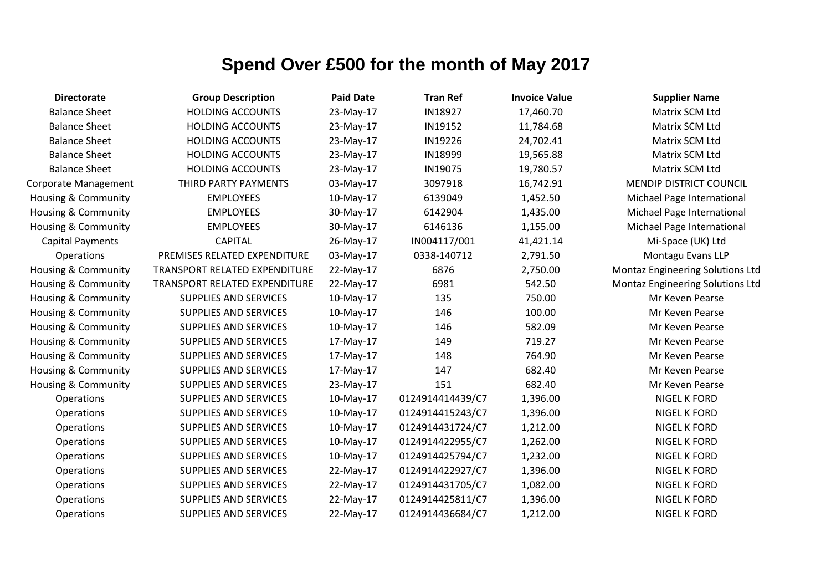| <b>Directorate</b>             | <b>Group Description</b>      | <b>Paid Date</b> | <b>Tran Ref</b>  | <b>Invoice Value</b> | <b>Supplier Name</b>                    |
|--------------------------------|-------------------------------|------------------|------------------|----------------------|-----------------------------------------|
| <b>Balance Sheet</b>           | <b>HOLDING ACCOUNTS</b>       | 23-May-17        | IN18927          | 17,460.70            | Matrix SCM Ltd                          |
| <b>Balance Sheet</b>           | <b>HOLDING ACCOUNTS</b>       | 23-May-17        | IN19152          | 11,784.68            | Matrix SCM Ltd                          |
| <b>Balance Sheet</b>           | <b>HOLDING ACCOUNTS</b>       | 23-May-17        | IN19226          | 24,702.41            | Matrix SCM Ltd                          |
| <b>Balance Sheet</b>           | <b>HOLDING ACCOUNTS</b>       | 23-May-17        | IN18999          | 19,565.88            | Matrix SCM Ltd                          |
| <b>Balance Sheet</b>           | <b>HOLDING ACCOUNTS</b>       | 23-May-17        | IN19075          | 19,780.57            | Matrix SCM Ltd                          |
| Corporate Management           | THIRD PARTY PAYMENTS          | 03-May-17        | 3097918          | 16,742.91            | <b>MENDIP DISTRICT COUNCIL</b>          |
| <b>Housing &amp; Community</b> | <b>EMPLOYEES</b>              | 10-May-17        | 6139049          | 1,452.50             | Michael Page International              |
| <b>Housing &amp; Community</b> | <b>EMPLOYEES</b>              | 30-May-17        | 6142904          | 1,435.00             | Michael Page International              |
| <b>Housing &amp; Community</b> | <b>EMPLOYEES</b>              | 30-May-17        | 6146136          | 1,155.00             | Michael Page International              |
| <b>Capital Payments</b>        | <b>CAPITAL</b>                | 26-May-17        | IN004117/001     | 41,421.14            | Mi-Space (UK) Ltd                       |
| Operations                     | PREMISES RELATED EXPENDITURE  | 03-May-17        | 0338-140712      | 2,791.50             | Montagu Evans LLP                       |
| Housing & Community            | TRANSPORT RELATED EXPENDITURE | 22-May-17        | 6876             | 2,750.00             | Montaz Engineering Solutions Ltd        |
| Housing & Community            | TRANSPORT RELATED EXPENDITURE | 22-May-17        | 6981             | 542.50               | <b>Montaz Engineering Solutions Ltd</b> |
| <b>Housing &amp; Community</b> | SUPPLIES AND SERVICES         | 10-May-17        | 135              | 750.00               | Mr Keven Pearse                         |
| Housing & Community            | SUPPLIES AND SERVICES         | 10-May-17        | 146              | 100.00               | Mr Keven Pearse                         |
| Housing & Community            | SUPPLIES AND SERVICES         | 10-May-17        | 146              | 582.09               | Mr Keven Pearse                         |
| <b>Housing &amp; Community</b> | SUPPLIES AND SERVICES         | 17-May-17        | 149              | 719.27               | Mr Keven Pearse                         |
| <b>Housing &amp; Community</b> | SUPPLIES AND SERVICES         | 17-May-17        | 148              | 764.90               | Mr Keven Pearse                         |
| Housing & Community            | SUPPLIES AND SERVICES         | 17-May-17        | 147              | 682.40               | Mr Keven Pearse                         |
| <b>Housing &amp; Community</b> | SUPPLIES AND SERVICES         | 23-May-17        | 151              | 682.40               | Mr Keven Pearse                         |
| Operations                     | SUPPLIES AND SERVICES         | 10-May-17        | 0124914414439/C7 | 1,396.00             | NIGEL K FORD                            |
| Operations                     | SUPPLIES AND SERVICES         | 10-May-17        | 0124914415243/C7 | 1,396.00             | <b>NIGEL K FORD</b>                     |
| Operations                     | SUPPLIES AND SERVICES         | 10-May-17        | 0124914431724/C7 | 1,212.00             | NIGEL K FORD                            |
| Operations                     | SUPPLIES AND SERVICES         | 10-May-17        | 0124914422955/C7 | 1,262.00             | NIGEL K FORD                            |
| Operations                     | SUPPLIES AND SERVICES         | 10-May-17        | 0124914425794/C7 | 1,232.00             | <b>NIGEL K FORD</b>                     |
| Operations                     | SUPPLIES AND SERVICES         | 22-May-17        | 0124914422927/C7 | 1,396.00             | NIGEL K FORD                            |
| Operations                     | SUPPLIES AND SERVICES         | 22-May-17        | 0124914431705/C7 | 1,082.00             | <b>NIGEL K FORD</b>                     |
| Operations                     | SUPPLIES AND SERVICES         | 22-May-17        | 0124914425811/C7 | 1,396.00             | <b>NIGEL K FORD</b>                     |
| Operations                     | <b>SUPPLIES AND SERVICES</b>  | 22-May-17        | 0124914436684/C7 | 1,212.00             | <b>NIGEL K FORD</b>                     |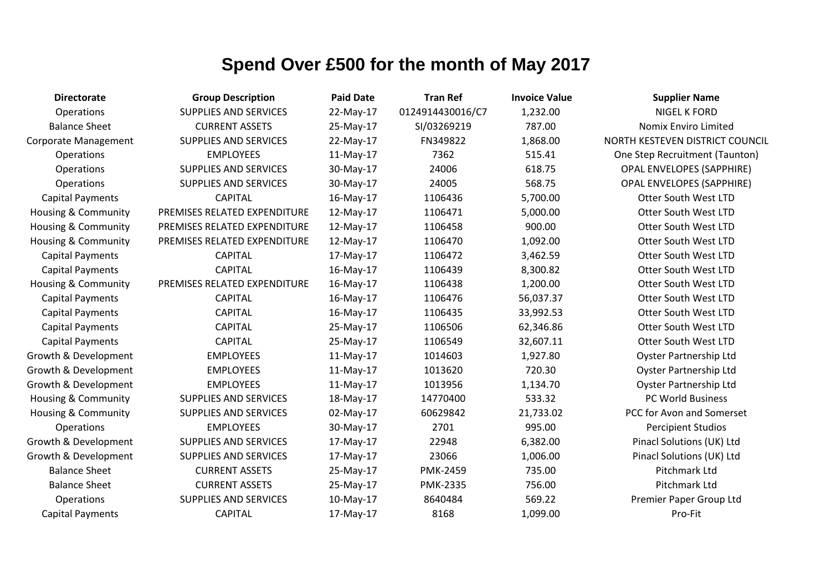| <b>Directorate</b>             | <b>Group Description</b>     | <b>Paid Date</b> | <b>Tran Ref</b>  | <b>Invoice Value</b> | <b>Supplier Name</b>             |
|--------------------------------|------------------------------|------------------|------------------|----------------------|----------------------------------|
| Operations                     | <b>SUPPLIES AND SERVICES</b> | 22-May-17        | 0124914430016/C7 | 1,232.00             | <b>NIGEL K FORD</b>              |
| <b>Balance Sheet</b>           | <b>CURRENT ASSETS</b>        | 25-May-17        | SI/03269219      | 787.00               | Nomix Enviro Limited             |
| <b>Corporate Management</b>    | <b>SUPPLIES AND SERVICES</b> | 22-May-17        | FN349822         | 1,868.00             | NORTH KESTEVEN DISTRICT COUNCIL  |
| Operations                     | <b>EMPLOYEES</b>             | 11-May-17        | 7362             | 515.41               | One Step Recruitment (Taunton)   |
| Operations                     | <b>SUPPLIES AND SERVICES</b> | 30-May-17        | 24006            | 618.75               | <b>OPAL ENVELOPES (SAPPHIRE)</b> |
| Operations                     | SUPPLIES AND SERVICES        | 30-May-17        | 24005            | 568.75               | <b>OPAL ENVELOPES (SAPPHIRE)</b> |
| <b>Capital Payments</b>        | <b>CAPITAL</b>               | 16-May-17        | 1106436          | 5,700.00             | <b>Otter South West LTD</b>      |
| Housing & Community            | PREMISES RELATED EXPENDITURE | 12-May-17        | 1106471          | 5,000.00             | <b>Otter South West LTD</b>      |
| Housing & Community            | PREMISES RELATED EXPENDITURE | 12-May-17        | 1106458          | 900.00               | Otter South West LTD             |
| <b>Housing &amp; Community</b> | PREMISES RELATED EXPENDITURE | 12-May-17        | 1106470          | 1,092.00             | <b>Otter South West LTD</b>      |
| Capital Payments               | <b>CAPITAL</b>               | 17-May-17        | 1106472          | 3,462.59             | <b>Otter South West LTD</b>      |
| Capital Payments               | <b>CAPITAL</b>               | 16-May-17        | 1106439          | 8,300.82             | <b>Otter South West LTD</b>      |
| Housing & Community            | PREMISES RELATED EXPENDITURE | 16-May-17        | 1106438          | 1,200.00             | Otter South West LTD             |
| <b>Capital Payments</b>        | <b>CAPITAL</b>               | 16-May-17        | 1106476          | 56,037.37            | <b>Otter South West LTD</b>      |
| <b>Capital Payments</b>        | <b>CAPITAL</b>               | 16-May-17        | 1106435          | 33,992.53            | Otter South West LTD             |
| <b>Capital Payments</b>        | <b>CAPITAL</b>               | 25-May-17        | 1106506          | 62,346.86            | <b>Otter South West LTD</b>      |
| <b>Capital Payments</b>        | <b>CAPITAL</b>               | 25-May-17        | 1106549          | 32,607.11            | <b>Otter South West LTD</b>      |
| Growth & Development           | <b>EMPLOYEES</b>             | $11-May-17$      | 1014603          | 1,927.80             | Oyster Partnership Ltd           |
| Growth & Development           | <b>EMPLOYEES</b>             | 11-May-17        | 1013620          | 720.30               | <b>Oyster Partnership Ltd</b>    |
| Growth & Development           | <b>EMPLOYEES</b>             | 11-May-17        | 1013956          | 1,134.70             | <b>Oyster Partnership Ltd</b>    |
| <b>Housing &amp; Community</b> | <b>SUPPLIES AND SERVICES</b> | 18-May-17        | 14770400         | 533.32               | PC World Business                |
| Housing & Community            | <b>SUPPLIES AND SERVICES</b> | 02-May-17        | 60629842         | 21,733.02            | PCC for Avon and Somerset        |
| <b>Operations</b>              | <b>EMPLOYEES</b>             | 30-May-17        | 2701             | 995.00               | <b>Percipient Studios</b>        |
| Growth & Development           | SUPPLIES AND SERVICES        | 17-May-17        | 22948            | 6,382.00             | Pinacl Solutions (UK) Ltd        |
| Growth & Development           | SUPPLIES AND SERVICES        | 17-May-17        | 23066            | 1,006.00             | Pinacl Solutions (UK) Ltd        |
| <b>Balance Sheet</b>           | <b>CURRENT ASSETS</b>        | 25-May-17        | <b>PMK-2459</b>  | 735.00               | Pitchmark Ltd                    |
| <b>Balance Sheet</b>           | <b>CURRENT ASSETS</b>        | 25-May-17        | <b>PMK-2335</b>  | 756.00               | Pitchmark Ltd                    |
| Operations                     | <b>SUPPLIES AND SERVICES</b> | 10-May-17        | 8640484          | 569.22               | Premier Paper Group Ltd          |
| <b>Capital Payments</b>        | <b>CAPITAL</b>               | 17-May-17        | 8168             | 1,099.00             | Pro-Fit                          |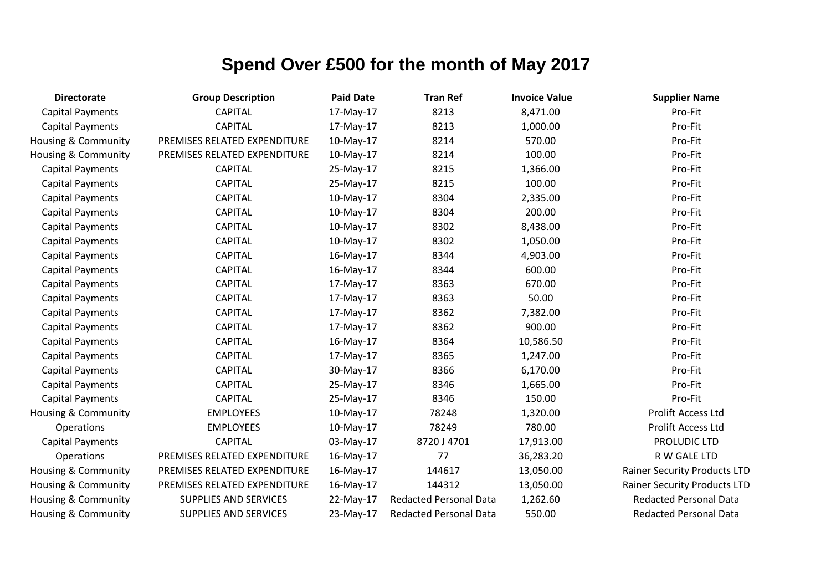| <b>Directorate</b>             | <b>Group Description</b>     | <b>Paid Date</b> | <b>Tran Ref</b>               | <b>Invoice Value</b> | <b>Supplier Name</b>                |
|--------------------------------|------------------------------|------------------|-------------------------------|----------------------|-------------------------------------|
| <b>Capital Payments</b>        | <b>CAPITAL</b>               | 17-May-17        | 8213                          | 8,471.00             | Pro-Fit                             |
| <b>Capital Payments</b>        | <b>CAPITAL</b>               | 17-May-17        | 8213                          | 1,000.00             | Pro-Fit                             |
| Housing & Community            | PREMISES RELATED EXPENDITURE | 10-May-17        | 8214                          | 570.00               | Pro-Fit                             |
| <b>Housing &amp; Community</b> | PREMISES RELATED EXPENDITURE | 10-May-17        | 8214                          | 100.00               | Pro-Fit                             |
| <b>Capital Payments</b>        | <b>CAPITAL</b>               | 25-May-17        | 8215                          | 1,366.00             | Pro-Fit                             |
| <b>Capital Payments</b>        | <b>CAPITAL</b>               | 25-May-17        | 8215                          | 100.00               | Pro-Fit                             |
| <b>Capital Payments</b>        | <b>CAPITAL</b>               | 10-May-17        | 8304                          | 2,335.00             | Pro-Fit                             |
| <b>Capital Payments</b>        | <b>CAPITAL</b>               | 10-May-17        | 8304                          | 200.00               | Pro-Fit                             |
| <b>Capital Payments</b>        | <b>CAPITAL</b>               | 10-May-17        | 8302                          | 8,438.00             | Pro-Fit                             |
| <b>Capital Payments</b>        | <b>CAPITAL</b>               | 10-May-17        | 8302                          | 1,050.00             | Pro-Fit                             |
| <b>Capital Payments</b>        | <b>CAPITAL</b>               | 16-May-17        | 8344                          | 4,903.00             | Pro-Fit                             |
| <b>Capital Payments</b>        | <b>CAPITAL</b>               | 16-May-17        | 8344                          | 600.00               | Pro-Fit                             |
| <b>Capital Payments</b>        | <b>CAPITAL</b>               | 17-May-17        | 8363                          | 670.00               | Pro-Fit                             |
| <b>Capital Payments</b>        | <b>CAPITAL</b>               | 17-May-17        | 8363                          | 50.00                | Pro-Fit                             |
| <b>Capital Payments</b>        | <b>CAPITAL</b>               | 17-May-17        | 8362                          | 7,382.00             | Pro-Fit                             |
| <b>Capital Payments</b>        | <b>CAPITAL</b>               | 17-May-17        | 8362                          | 900.00               | Pro-Fit                             |
| <b>Capital Payments</b>        | <b>CAPITAL</b>               | 16-May-17        | 8364                          | 10,586.50            | Pro-Fit                             |
| <b>Capital Payments</b>        | <b>CAPITAL</b>               | 17-May-17        | 8365                          | 1,247.00             | Pro-Fit                             |
| <b>Capital Payments</b>        | <b>CAPITAL</b>               | 30-May-17        | 8366                          | 6,170.00             | Pro-Fit                             |
| <b>Capital Payments</b>        | <b>CAPITAL</b>               | 25-May-17        | 8346                          | 1,665.00             | Pro-Fit                             |
| <b>Capital Payments</b>        | <b>CAPITAL</b>               | 25-May-17        | 8346                          | 150.00               | Pro-Fit                             |
| Housing & Community            | <b>EMPLOYEES</b>             | 10-May-17        | 78248                         | 1,320.00             | <b>Prolift Access Ltd</b>           |
| Operations                     | <b>EMPLOYEES</b>             | 10-May-17        | 78249                         | 780.00               | <b>Prolift Access Ltd</b>           |
| <b>Capital Payments</b>        | <b>CAPITAL</b>               | 03-May-17        | 8720 J 4701                   | 17,913.00            | PROLUDIC LTD                        |
| Operations                     | PREMISES RELATED EXPENDITURE | 16-May-17        | 77                            | 36,283.20            | R W GALE LTD                        |
| Housing & Community            | PREMISES RELATED EXPENDITURE | 16-May-17        | 144617                        | 13,050.00            | <b>Rainer Security Products LTD</b> |
| Housing & Community            | PREMISES RELATED EXPENDITURE | 16-May-17        | 144312                        | 13,050.00            | <b>Rainer Security Products LTD</b> |
| Housing & Community            | SUPPLIES AND SERVICES        | 22-May-17        | <b>Redacted Personal Data</b> | 1,262.60             | <b>Redacted Personal Data</b>       |
| <b>Housing &amp; Community</b> | <b>SUPPLIES AND SERVICES</b> | 23-May-17        | <b>Redacted Personal Data</b> | 550.00               | <b>Redacted Personal Data</b>       |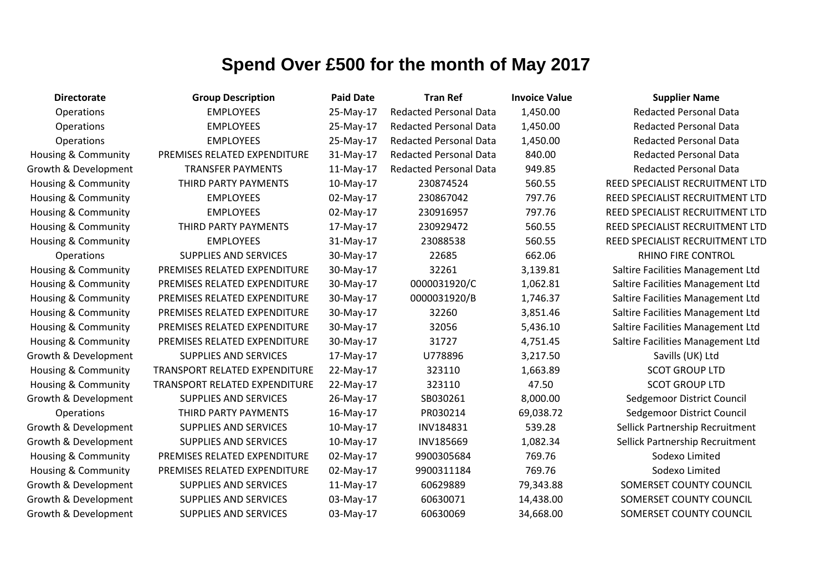| <b>Directorate</b>             | <b>Group Description</b>             | <b>Paid Date</b> | <b>Tran Ref</b>               | <b>Invoice Value</b> | <b>Supplier Name</b>              |
|--------------------------------|--------------------------------------|------------------|-------------------------------|----------------------|-----------------------------------|
| Operations                     | <b>EMPLOYEES</b>                     | 25-May-17        | <b>Redacted Personal Data</b> | 1,450.00             | <b>Redacted Personal Data</b>     |
| Operations                     | <b>EMPLOYEES</b>                     | 25-May-17        | <b>Redacted Personal Data</b> | 1,450.00             | <b>Redacted Personal Data</b>     |
| Operations                     | <b>EMPLOYEES</b>                     | 25-May-17        | <b>Redacted Personal Data</b> | 1,450.00             | <b>Redacted Personal Data</b>     |
| Housing & Community            | PREMISES RELATED EXPENDITURE         | 31-May-17        | <b>Redacted Personal Data</b> | 840.00               | <b>Redacted Personal Data</b>     |
| Growth & Development           | <b>TRANSFER PAYMENTS</b>             | 11-May-17        | <b>Redacted Personal Data</b> | 949.85               | <b>Redacted Personal Data</b>     |
| <b>Housing &amp; Community</b> | THIRD PARTY PAYMENTS                 | 10-May-17        | 230874524                     | 560.55               | REED SPECIALIST RECRUITMENT LTD   |
| Housing & Community            | <b>EMPLOYEES</b>                     | 02-May-17        | 230867042                     | 797.76               | REED SPECIALIST RECRUITMENT LTD   |
| <b>Housing &amp; Community</b> | <b>EMPLOYEES</b>                     | 02-May-17        | 230916957                     | 797.76               | REED SPECIALIST RECRUITMENT LTD   |
| <b>Housing &amp; Community</b> | THIRD PARTY PAYMENTS                 | 17-May-17        | 230929472                     | 560.55               | REED SPECIALIST RECRUITMENT LTD   |
| Housing & Community            | <b>EMPLOYEES</b>                     | 31-May-17        | 23088538                      | 560.55               | REED SPECIALIST RECRUITMENT LTD   |
| <b>Operations</b>              | <b>SUPPLIES AND SERVICES</b>         | 30-May-17        | 22685                         | 662.06               | RHINO FIRE CONTROL                |
| Housing & Community            | PREMISES RELATED EXPENDITURE         | 30-May-17        | 32261                         | 3,139.81             | Saltire Facilities Management Ltd |
| Housing & Community            | PREMISES RELATED EXPENDITURE         | 30-May-17        | 0000031920/C                  | 1,062.81             | Saltire Facilities Management Ltd |
| <b>Housing &amp; Community</b> | PREMISES RELATED EXPENDITURE         | 30-May-17        | 0000031920/B                  | 1,746.37             | Saltire Facilities Management Ltd |
| Housing & Community            | PREMISES RELATED EXPENDITURE         | 30-May-17        | 32260                         | 3,851.46             | Saltire Facilities Management Ltd |
| <b>Housing &amp; Community</b> | PREMISES RELATED EXPENDITURE         | 30-May-17        | 32056                         | 5,436.10             | Saltire Facilities Management Ltd |
| <b>Housing &amp; Community</b> | PREMISES RELATED EXPENDITURE         | 30-May-17        | 31727                         | 4,751.45             | Saltire Facilities Management Ltd |
| Growth & Development           | <b>SUPPLIES AND SERVICES</b>         | 17-May-17        | U778896                       | 3,217.50             | Savills (UK) Ltd                  |
| Housing & Community            | TRANSPORT RELATED EXPENDITURE        | 22-May-17        | 323110                        | 1,663.89             | <b>SCOT GROUP LTD</b>             |
| <b>Housing &amp; Community</b> | <b>TRANSPORT RELATED EXPENDITURE</b> | 22-May-17        | 323110                        | 47.50                | <b>SCOT GROUP LTD</b>             |
| Growth & Development           | <b>SUPPLIES AND SERVICES</b>         | 26-May-17        | SB030261                      | 8,000.00             | Sedgemoor District Council        |
| <b>Operations</b>              | THIRD PARTY PAYMENTS                 | 16-May-17        | PR030214                      | 69,038.72            | Sedgemoor District Council        |
| Growth & Development           | <b>SUPPLIES AND SERVICES</b>         | 10-May-17        | INV184831                     | 539.28               | Sellick Partnership Recruitment   |
| Growth & Development           | <b>SUPPLIES AND SERVICES</b>         | 10-May-17        | INV185669                     | 1,082.34             | Sellick Partnership Recruitment   |
| <b>Housing &amp; Community</b> | PREMISES RELATED EXPENDITURE         | 02-May-17        | 9900305684                    | 769.76               | Sodexo Limited                    |
| Housing & Community            | PREMISES RELATED EXPENDITURE         | 02-May-17        | 9900311184                    | 769.76               | Sodexo Limited                    |
| Growth & Development           | <b>SUPPLIES AND SERVICES</b>         | $11-May-17$      | 60629889                      | 79,343.88            | SOMERSET COUNTY COUNCIL           |
| Growth & Development           | <b>SUPPLIES AND SERVICES</b>         | 03-May-17        | 60630071                      | 14,438.00            | SOMERSET COUNTY COUNCIL           |
| Growth & Development           | <b>SUPPLIES AND SERVICES</b>         | 03-May-17        | 60630069                      | 34,668.00            | SOMERSET COUNTY COUNCIL           |

# **MOOR District Council**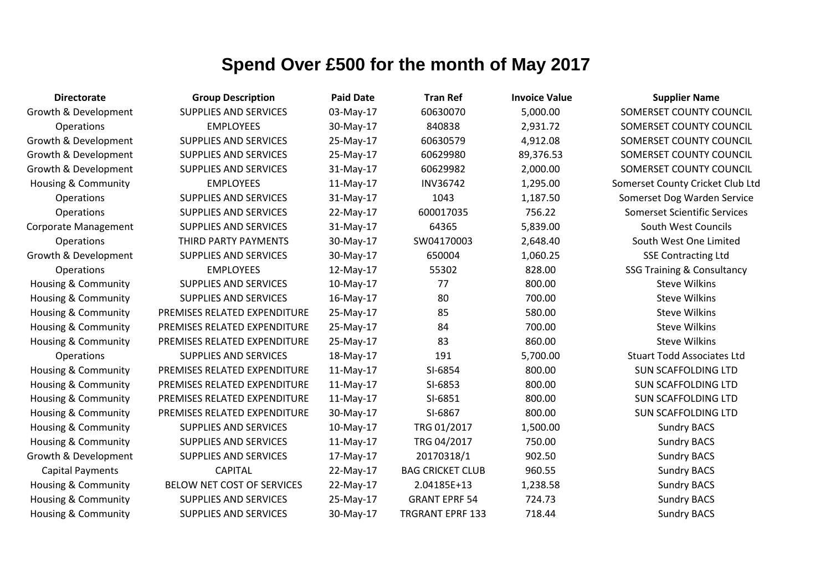| <b>Directorate</b>             | <b>Group Description</b>     | <b>Paid Date</b> | <b>Tran Ref</b>         | <b>Invoice Value</b> | <b>Supplier Name</b>                  |
|--------------------------------|------------------------------|------------------|-------------------------|----------------------|---------------------------------------|
| Growth & Development           | <b>SUPPLIES AND SERVICES</b> | 03-May-17        | 60630070                | 5,000.00             | SOMERSET COUNTY COUNCIL               |
| <b>Operations</b>              | <b>EMPLOYEES</b>             | 30-May-17        | 840838                  | 2,931.72             | SOMERSET COUNTY COUNCIL               |
| Growth & Development           | <b>SUPPLIES AND SERVICES</b> | 25-May-17        | 60630579                | 4,912.08             | SOMERSET COUNTY COUNCIL               |
| Growth & Development           | <b>SUPPLIES AND SERVICES</b> | 25-May-17        | 60629980                | 89,376.53            | SOMERSET COUNTY COUNCIL               |
| Growth & Development           | SUPPLIES AND SERVICES        | 31-May-17        | 60629982                | 2,000.00             | SOMERSET COUNTY COUNCIL               |
| <b>Housing &amp; Community</b> | <b>EMPLOYEES</b>             | 11-May-17        | INV36742                | 1,295.00             | Somerset County Cricket Club Ltd      |
| Operations                     | <b>SUPPLIES AND SERVICES</b> | 31-May-17        | 1043                    | 1,187.50             | Somerset Dog Warden Service           |
| Operations                     | <b>SUPPLIES AND SERVICES</b> | 22-May-17        | 600017035               | 756.22               | <b>Somerset Scientific Services</b>   |
| <b>Corporate Management</b>    | <b>SUPPLIES AND SERVICES</b> | 31-May-17        | 64365                   | 5,839.00             | South West Councils                   |
| Operations                     | THIRD PARTY PAYMENTS         | 30-May-17        | SW04170003              | 2,648.40             | South West One Limited                |
| Growth & Development           | <b>SUPPLIES AND SERVICES</b> | 30-May-17        | 650004                  | 1,060.25             | <b>SSE Contracting Ltd</b>            |
| Operations                     | <b>EMPLOYEES</b>             | 12-May-17        | 55302                   | 828.00               | <b>SSG Training &amp; Consultancy</b> |
| Housing & Community            | <b>SUPPLIES AND SERVICES</b> | 10-May-17        | 77                      | 800.00               | <b>Steve Wilkins</b>                  |
| <b>Housing &amp; Community</b> | <b>SUPPLIES AND SERVICES</b> | 16-May-17        | 80                      | 700.00               | <b>Steve Wilkins</b>                  |
| <b>Housing &amp; Community</b> | PREMISES RELATED EXPENDITURE | 25-May-17        | 85                      | 580.00               | <b>Steve Wilkins</b>                  |
| <b>Housing &amp; Community</b> | PREMISES RELATED EXPENDITURE | 25-May-17        | 84                      | 700.00               | <b>Steve Wilkins</b>                  |
| <b>Housing &amp; Community</b> | PREMISES RELATED EXPENDITURE | 25-May-17        | 83                      | 860.00               | <b>Steve Wilkins</b>                  |
| Operations                     | <b>SUPPLIES AND SERVICES</b> | 18-May-17        | 191                     | 5,700.00             | <b>Stuart Todd Associates Ltd</b>     |
| <b>Housing &amp; Community</b> | PREMISES RELATED EXPENDITURE | 11-May-17        | SI-6854                 | 800.00               | <b>SUN SCAFFOLDING LTD</b>            |
| <b>Housing &amp; Community</b> | PREMISES RELATED EXPENDITURE | 11-May-17        | SI-6853                 | 800.00               | <b>SUN SCAFFOLDING LTD</b>            |
| <b>Housing &amp; Community</b> | PREMISES RELATED EXPENDITURE | 11-May-17        | SI-6851                 | 800.00               | <b>SUN SCAFFOLDING LTD</b>            |
| <b>Housing &amp; Community</b> | PREMISES RELATED EXPENDITURE | 30-May-17        | SI-6867                 | 800.00               | <b>SUN SCAFFOLDING LTD</b>            |
| Housing & Community            | SUPPLIES AND SERVICES        | 10-May-17        | TRG 01/2017             | 1,500.00             | <b>Sundry BACS</b>                    |
| <b>Housing &amp; Community</b> | <b>SUPPLIES AND SERVICES</b> | 11-May-17        | TRG 04/2017             | 750.00               | <b>Sundry BACS</b>                    |
| Growth & Development           | SUPPLIES AND SERVICES        | 17-May-17        | 20170318/1              | 902.50               | <b>Sundry BACS</b>                    |
| <b>Capital Payments</b>        | <b>CAPITAL</b>               | 22-May-17        | <b>BAG CRICKET CLUB</b> | 960.55               | <b>Sundry BACS</b>                    |
| Housing & Community            | BELOW NET COST OF SERVICES   | 22-May-17        | 2.04185E+13             | 1,238.58             | <b>Sundry BACS</b>                    |
| Housing & Community            | <b>SUPPLIES AND SERVICES</b> | 25-May-17        | <b>GRANT EPRF 54</b>    | 724.73               | <b>Sundry BACS</b>                    |
| Housing & Community            | <b>SUPPLIES AND SERVICES</b> | 30-May-17        | <b>TRGRANT EPRF 133</b> | 718.44               | <b>Sundry BACS</b>                    |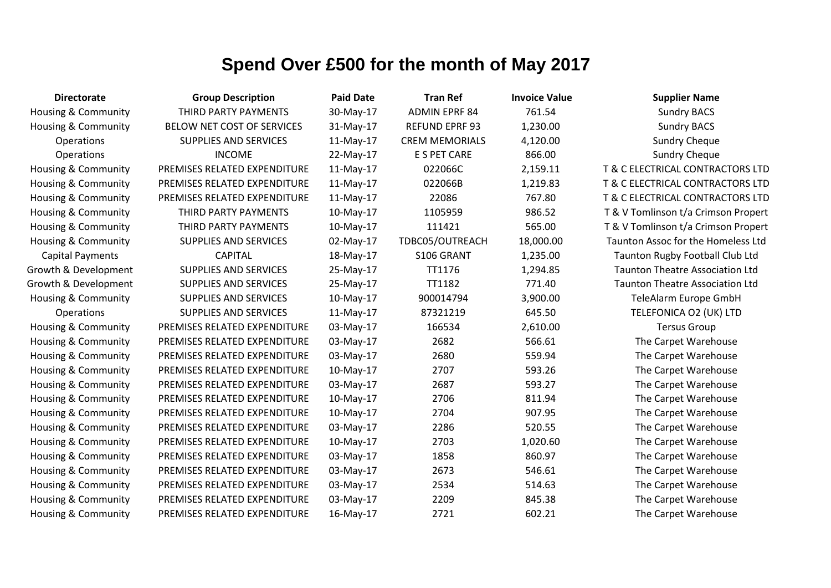| <b>Directorate</b>             | <b>Group Description</b>     | <b>Paid Date</b> | <b>Tran Ref</b>       | <b>Invoice Value</b> | <b>Supplier Name</b>                   |
|--------------------------------|------------------------------|------------------|-----------------------|----------------------|----------------------------------------|
| <b>Housing &amp; Community</b> | THIRD PARTY PAYMENTS         | 30-May-17        | <b>ADMIN EPRF 84</b>  | 761.54               | <b>Sundry BACS</b>                     |
| Housing & Community            | BELOW NET COST OF SERVICES   | 31-May-17        | <b>REFUND EPRF 93</b> | 1,230.00             | <b>Sundry BACS</b>                     |
| Operations                     | <b>SUPPLIES AND SERVICES</b> | 11-May-17        | <b>CREM MEMORIALS</b> | 4,120.00             | <b>Sundry Cheque</b>                   |
| Operations                     | <b>INCOME</b>                | 22-May-17        | E S PET CARE          | 866.00               | <b>Sundry Cheque</b>                   |
| <b>Housing &amp; Community</b> | PREMISES RELATED EXPENDITURE | $11-May-17$      | 022066C               | 2,159.11             | T & C ELECTRICAL CONTRACTORS LTD       |
| <b>Housing &amp; Community</b> | PREMISES RELATED EXPENDITURE | $11-May-17$      | 022066B               | 1,219.83             | T & C ELECTRICAL CONTRACTORS LTD       |
| Housing & Community            | PREMISES RELATED EXPENDITURE | $11-May-17$      | 22086                 | 767.80               | T & C ELECTRICAL CONTRACTORS LTD       |
| Housing & Community            | THIRD PARTY PAYMENTS         | 10-May-17        | 1105959               | 986.52               | T & V Tomlinson t/a Crimson Propert    |
| <b>Housing &amp; Community</b> | THIRD PARTY PAYMENTS         | 10-May-17        | 111421                | 565.00               | T & V Tomlinson t/a Crimson Propert    |
| <b>Housing &amp; Community</b> | <b>SUPPLIES AND SERVICES</b> | 02-May-17        | TDBC05/OUTREACH       | 18,000.00            | Taunton Assoc for the Homeless Ltd     |
| <b>Capital Payments</b>        | <b>CAPITAL</b>               | 18-May-17        | S106 GRANT            | 1,235.00             | Taunton Rugby Football Club Ltd        |
| Growth & Development           | <b>SUPPLIES AND SERVICES</b> | 25-May-17        | TT1176                | 1,294.85             | <b>Taunton Theatre Association Ltd</b> |
| Growth & Development           | <b>SUPPLIES AND SERVICES</b> | 25-May-17        | <b>TT1182</b>         | 771.40               | <b>Taunton Theatre Association Ltd</b> |
| <b>Housing &amp; Community</b> | <b>SUPPLIES AND SERVICES</b> | 10-May-17        | 900014794             | 3,900.00             | TeleAlarm Europe GmbH                  |
| Operations                     | <b>SUPPLIES AND SERVICES</b> | 11-May-17        | 87321219              | 645.50               | TELEFONICA O2 (UK) LTD                 |
| <b>Housing &amp; Community</b> | PREMISES RELATED EXPENDITURE | 03-May-17        | 166534                | 2,610.00             | <b>Tersus Group</b>                    |
| <b>Housing &amp; Community</b> | PREMISES RELATED EXPENDITURE | 03-May-17        | 2682                  | 566.61               | The Carpet Warehouse                   |
| <b>Housing &amp; Community</b> | PREMISES RELATED EXPENDITURE | 03-May-17        | 2680                  | 559.94               | The Carpet Warehouse                   |
| Housing & Community            | PREMISES RELATED EXPENDITURE | 10-May-17        | 2707                  | 593.26               | The Carpet Warehouse                   |
| Housing & Community            | PREMISES RELATED EXPENDITURE | 03-May-17        | 2687                  | 593.27               | The Carpet Warehouse                   |
| Housing & Community            | PREMISES RELATED EXPENDITURE | 10-May-17        | 2706                  | 811.94               | The Carpet Warehouse                   |
| <b>Housing &amp; Community</b> | PREMISES RELATED EXPENDITURE | 10-May-17        | 2704                  | 907.95               | The Carpet Warehouse                   |
| Housing & Community            | PREMISES RELATED EXPENDITURE | 03-May-17        | 2286                  | 520.55               | The Carpet Warehouse                   |
| Housing & Community            | PREMISES RELATED EXPENDITURE | 10-May-17        | 2703                  | 1,020.60             | The Carpet Warehouse                   |
| Housing & Community            | PREMISES RELATED EXPENDITURE | 03-May-17        | 1858                  | 860.97               | The Carpet Warehouse                   |
| <b>Housing &amp; Community</b> | PREMISES RELATED EXPENDITURE | 03-May-17        | 2673                  | 546.61               | The Carpet Warehouse                   |
| Housing & Community            | PREMISES RELATED EXPENDITURE | 03-May-17        | 2534                  | 514.63               | The Carpet Warehouse                   |
| <b>Housing &amp; Community</b> | PREMISES RELATED EXPENDITURE | 03-May-17        | 2209                  | 845.38               | The Carpet Warehouse                   |
| Housing & Community            | PREMISES RELATED EXPENDITURE | 16-May-17        | 2721                  | 602.21               | The Carpet Warehouse                   |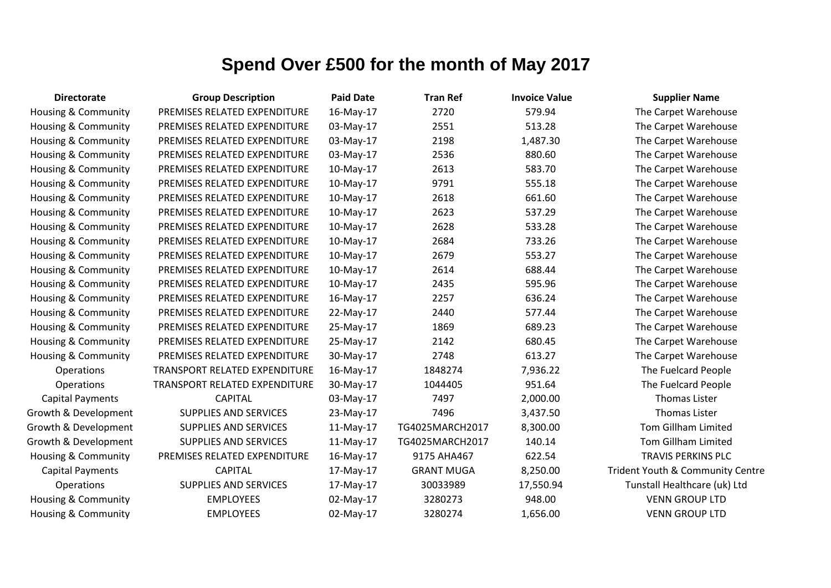| <b>Directorate</b>             | <b>Group Description</b>      | <b>Paid Date</b> | <b>Tran Ref</b>   | <b>Invoice Value</b> | <b>Supplier Name</b>             |
|--------------------------------|-------------------------------|------------------|-------------------|----------------------|----------------------------------|
| Housing & Community            | PREMISES RELATED EXPENDITURE  | 16-May-17        | 2720              | 579.94               | The Carpet Warehouse             |
| Housing & Community            | PREMISES RELATED EXPENDITURE  | 03-May-17        | 2551              | 513.28               | The Carpet Warehouse             |
| Housing & Community            | PREMISES RELATED EXPENDITURE  | 03-May-17        | 2198              | 1,487.30             | The Carpet Warehouse             |
| Housing & Community            | PREMISES RELATED EXPENDITURE  | 03-May-17        | 2536              | 880.60               | The Carpet Warehouse             |
| Housing & Community            | PREMISES RELATED EXPENDITURE  | 10-May-17        | 2613              | 583.70               | The Carpet Warehouse             |
| Housing & Community            | PREMISES RELATED EXPENDITURE  | 10-May-17        | 9791              | 555.18               | The Carpet Warehouse             |
| Housing & Community            | PREMISES RELATED EXPENDITURE  | 10-May-17        | 2618              | 661.60               | The Carpet Warehouse             |
| Housing & Community            | PREMISES RELATED EXPENDITURE  | 10-May-17        | 2623              | 537.29               | The Carpet Warehouse             |
| Housing & Community            | PREMISES RELATED EXPENDITURE  | 10-May-17        | 2628              | 533.28               | The Carpet Warehouse             |
| Housing & Community            | PREMISES RELATED EXPENDITURE  | 10-May-17        | 2684              | 733.26               | The Carpet Warehouse             |
| Housing & Community            | PREMISES RELATED EXPENDITURE  | 10-May-17        | 2679              | 553.27               | The Carpet Warehouse             |
| <b>Housing &amp; Community</b> | PREMISES RELATED EXPENDITURE  | 10-May-17        | 2614              | 688.44               | The Carpet Warehouse             |
| Housing & Community            | PREMISES RELATED EXPENDITURE  | 10-May-17        | 2435              | 595.96               | The Carpet Warehouse             |
| Housing & Community            | PREMISES RELATED EXPENDITURE  | 16-May-17        | 2257              | 636.24               | The Carpet Warehouse             |
| Housing & Community            | PREMISES RELATED EXPENDITURE  | 22-May-17        | 2440              | 577.44               | The Carpet Warehouse             |
| Housing & Community            | PREMISES RELATED EXPENDITURE  | 25-May-17        | 1869              | 689.23               | The Carpet Warehouse             |
| Housing & Community            | PREMISES RELATED EXPENDITURE  | 25-May-17        | 2142              | 680.45               | The Carpet Warehouse             |
| <b>Housing &amp; Community</b> | PREMISES RELATED EXPENDITURE  | 30-May-17        | 2748              | 613.27               | The Carpet Warehouse             |
| Operations                     | TRANSPORT RELATED EXPENDITURE | 16-May-17        | 1848274           | 7,936.22             | The Fuelcard People              |
| Operations                     | TRANSPORT RELATED EXPENDITURE | 30-May-17        | 1044405           | 951.64               | The Fuelcard People              |
| <b>Capital Payments</b>        | <b>CAPITAL</b>                | 03-May-17        | 7497              | 2,000.00             | <b>Thomas Lister</b>             |
| Growth & Development           | <b>SUPPLIES AND SERVICES</b>  | 23-May-17        | 7496              | 3,437.50             | <b>Thomas Lister</b>             |
| Growth & Development           | <b>SUPPLIES AND SERVICES</b>  | 11-May-17        | TG4025MARCH2017   | 8,300.00             | <b>Tom Gillham Limited</b>       |
| Growth & Development           | <b>SUPPLIES AND SERVICES</b>  | 11-May-17        | TG4025MARCH2017   | 140.14               | <b>Tom Gillham Limited</b>       |
| Housing & Community            | PREMISES RELATED EXPENDITURE  | 16-May-17        | 9175 AHA467       | 622.54               | <b>TRAVIS PERKINS PLC</b>        |
| <b>Capital Payments</b>        | <b>CAPITAL</b>                | 17-May-17        | <b>GRANT MUGA</b> | 8,250.00             | Trident Youth & Community Centre |
| Operations                     | <b>SUPPLIES AND SERVICES</b>  | 17-May-17        | 30033989          | 17,550.94            | Tunstall Healthcare (uk) Ltd     |
| <b>Housing &amp; Community</b> | <b>EMPLOYEES</b>              | 02-May-17        | 3280273           | 948.00               | <b>VENN GROUP LTD</b>            |
| Housing & Community            | <b>EMPLOYEES</b>              | 02-May-17        | 3280274           | 1,656.00             | <b>VENN GROUP LTD</b>            |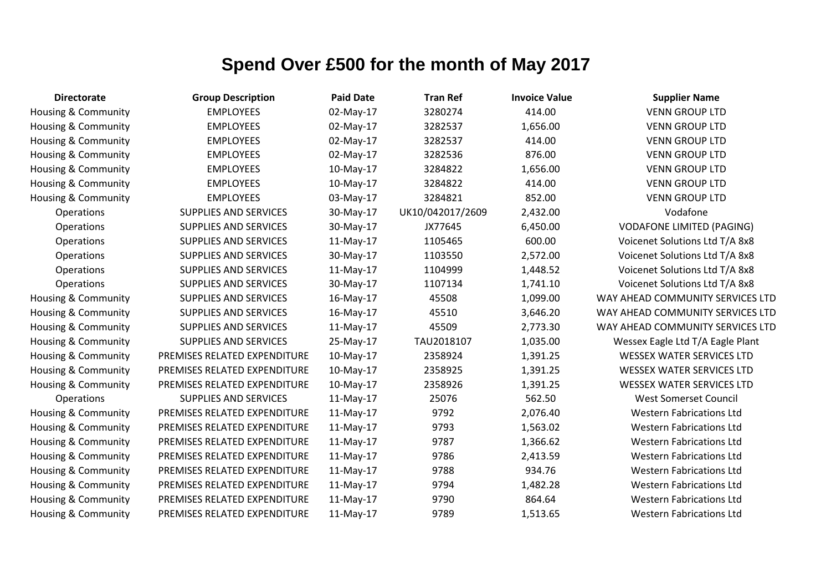| <b>Directorate</b>             | <b>Group Description</b>     | <b>Paid Date</b> | <b>Tran Ref</b>  | <b>Invoice Value</b> | <b>Supplier Name</b>             |
|--------------------------------|------------------------------|------------------|------------------|----------------------|----------------------------------|
| Housing & Community            | <b>EMPLOYEES</b>             | 02-May-17        | 3280274          | 414.00               | <b>VENN GROUP LTD</b>            |
| <b>Housing &amp; Community</b> | <b>EMPLOYEES</b>             | 02-May-17        | 3282537          | 1,656.00             | <b>VENN GROUP LTD</b>            |
| Housing & Community            | <b>EMPLOYEES</b>             | 02-May-17        | 3282537          | 414.00               | <b>VENN GROUP LTD</b>            |
| Housing & Community            | <b>EMPLOYEES</b>             | 02-May-17        | 3282536          | 876.00               | <b>VENN GROUP LTD</b>            |
| Housing & Community            | <b>EMPLOYEES</b>             | 10-May-17        | 3284822          | 1,656.00             | <b>VENN GROUP LTD</b>            |
| <b>Housing &amp; Community</b> | <b>EMPLOYEES</b>             | 10-May-17        | 3284822          | 414.00               | <b>VENN GROUP LTD</b>            |
| Housing & Community            | <b>EMPLOYEES</b>             | 03-May-17        | 3284821          | 852.00               | <b>VENN GROUP LTD</b>            |
| Operations                     | <b>SUPPLIES AND SERVICES</b> | 30-May-17        | UK10/042017/2609 | 2,432.00             | Vodafone                         |
| Operations                     | <b>SUPPLIES AND SERVICES</b> | 30-May-17        | JX77645          | 6,450.00             | <b>VODAFONE LIMITED (PAGING)</b> |
| Operations                     | <b>SUPPLIES AND SERVICES</b> | 11-May-17        | 1105465          | 600.00               | Voicenet Solutions Ltd T/A 8x8   |
| Operations                     | <b>SUPPLIES AND SERVICES</b> | 30-May-17        | 1103550          | 2,572.00             | Voicenet Solutions Ltd T/A 8x8   |
| Operations                     | <b>SUPPLIES AND SERVICES</b> | 11-May-17        | 1104999          | 1,448.52             | Voicenet Solutions Ltd T/A 8x8   |
| Operations                     | SUPPLIES AND SERVICES        | 30-May-17        | 1107134          | 1,741.10             | Voicenet Solutions Ltd T/A 8x8   |
| Housing & Community            | <b>SUPPLIES AND SERVICES</b> | 16-May-17        | 45508            | 1,099.00             | WAY AHEAD COMMUNITY SERVICES LTD |
| Housing & Community            | SUPPLIES AND SERVICES        | 16-May-17        | 45510            | 3,646.20             | WAY AHEAD COMMUNITY SERVICES LTD |
| <b>Housing &amp; Community</b> | SUPPLIES AND SERVICES        | 11-May-17        | 45509            | 2,773.30             | WAY AHEAD COMMUNITY SERVICES LTD |
| <b>Housing &amp; Community</b> | <b>SUPPLIES AND SERVICES</b> | 25-May-17        | TAU2018107       | 1,035.00             | Wessex Eagle Ltd T/A Eagle Plant |
| Housing & Community            | PREMISES RELATED EXPENDITURE | 10-May-17        | 2358924          | 1,391.25             | <b>WESSEX WATER SERVICES LTD</b> |
| Housing & Community            | PREMISES RELATED EXPENDITURE | $10$ -May-17     | 2358925          | 1,391.25             | <b>WESSEX WATER SERVICES LTD</b> |
| <b>Housing &amp; Community</b> | PREMISES RELATED EXPENDITURE | 10-May-17        | 2358926          | 1,391.25             | <b>WESSEX WATER SERVICES LTD</b> |
| Operations                     | <b>SUPPLIES AND SERVICES</b> | 11-May-17        | 25076            | 562.50               | <b>West Somerset Council</b>     |
| <b>Housing &amp; Community</b> | PREMISES RELATED EXPENDITURE | 11-May-17        | 9792             | 2,076.40             | <b>Western Fabrications Ltd</b>  |
| Housing & Community            | PREMISES RELATED EXPENDITURE | 11-May-17        | 9793             | 1,563.02             | <b>Western Fabrications Ltd</b>  |
| <b>Housing &amp; Community</b> | PREMISES RELATED EXPENDITURE | 11-May-17        | 9787             | 1,366.62             | <b>Western Fabrications Ltd</b>  |
| Housing & Community            | PREMISES RELATED EXPENDITURE | 11-May-17        | 9786             | 2,413.59             | <b>Western Fabrications Ltd</b>  |
| Housing & Community            | PREMISES RELATED EXPENDITURE | 11-May-17        | 9788             | 934.76               | <b>Western Fabrications Ltd</b>  |
| Housing & Community            | PREMISES RELATED EXPENDITURE | 11-May-17        | 9794             | 1,482.28             | <b>Western Fabrications Ltd</b>  |
| Housing & Community            | PREMISES RELATED EXPENDITURE | 11-May-17        | 9790             | 864.64               | <b>Western Fabrications Ltd</b>  |
| <b>Housing &amp; Community</b> | PREMISES RELATED EXPENDITURE | 11-May-17        | 9789             | 1,513.65             | <b>Western Fabrications Ltd</b>  |